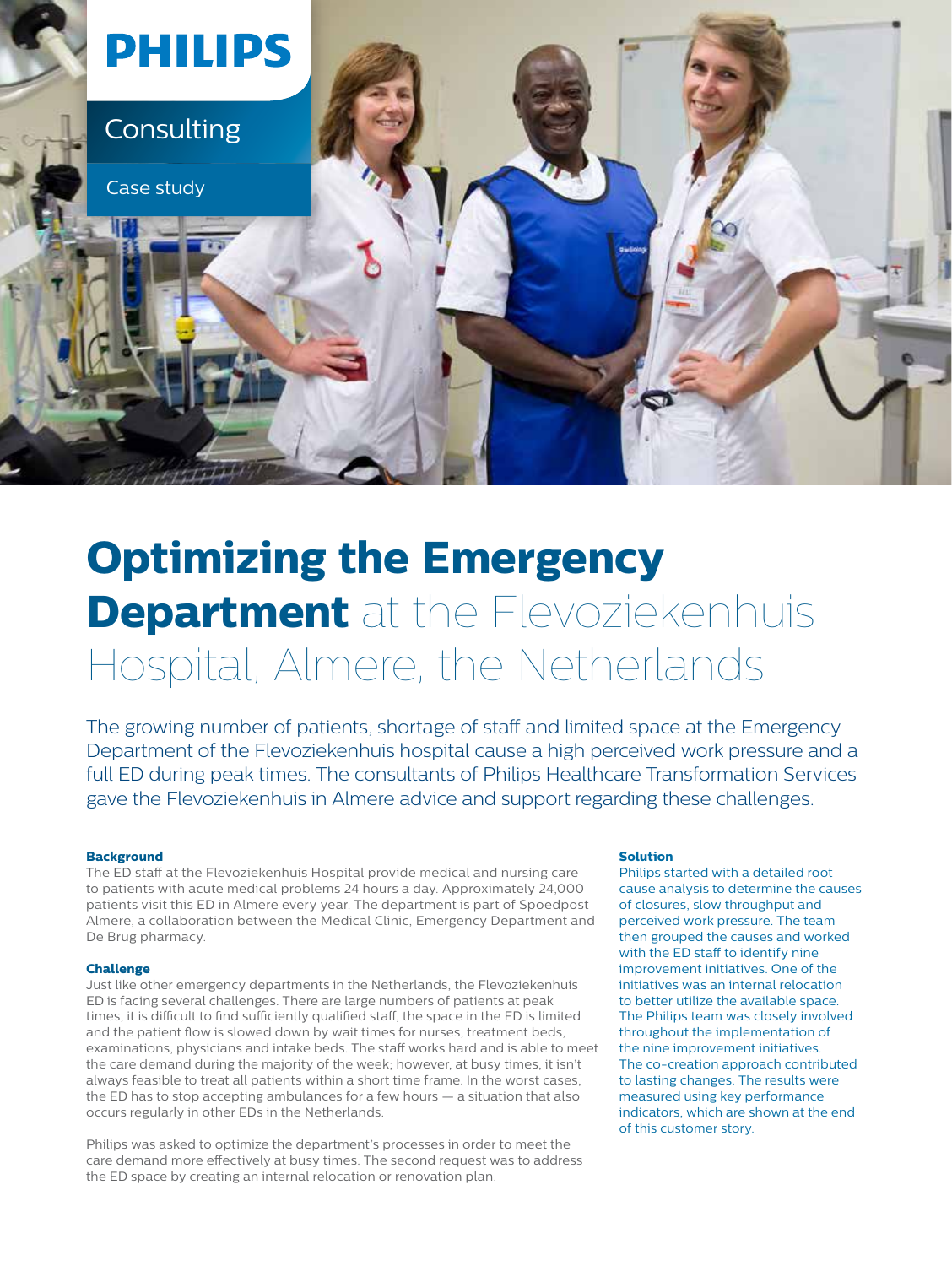

# **Optimizing the Emergency Department** at the Flevoziekenhuis Hospital, Almere, the Netherlands

The growing number of patients, shortage of staff and limited space at the Emergency Department of the Flevoziekenhuis hospital cause a high perceived work pressure and a full ED during peak times. The consultants of Philips Healthcare Transformation Services gave the Flevoziekenhuis in Almere advice and support regarding these challenges.

#### **Background**

The ED staff at the Flevoziekenhuis Hospital provide medical and nursing care to patients with acute medical problems 24 hours a day. Approximately 24,000 patients visit this ED in Almere every year. The department is part of Spoedpost Almere, a collaboration between the Medical Clinic, Emergency Department and De Brug pharmacy.

#### **Challenge**

Just like other emergency departments in the Netherlands, the Flevoziekenhuis ED is facing several challenges. There are large numbers of patients at peak times, it is difficult to find sufficiently qualified staff, the space in the ED is limited and the patient flow is slowed down by wait times for nurses, treatment beds, examinations, physicians and intake beds. The staff works hard and is able to meet the care demand during the majority of the week; however, at busy times, it isn't always feasible to treat all patients within a short time frame. In the worst cases, the ED has to stop accepting ambulances for a few hours — a situation that also occurs regularly in other EDs in the Netherlands.

Philips was asked to optimize the department's processes in order to meet the care demand more effectively at busy times. The second request was to address the ED space by creating an internal relocation or renovation plan.

#### **Solution**

Philips started with a detailed root cause analysis to determine the causes of closures, slow throughput and perceived work pressure. The team then grouped the causes and worked with the ED staff to identify nine improvement initiatives. One of the initiatives was an internal relocation to better utilize the available space. The Philips team was closely involved throughout the implementation of the nine improvement initiatives. The co-creation approach contributed to lasting changes. The results were measured using key performance indicators, which are shown at the end of this customer story.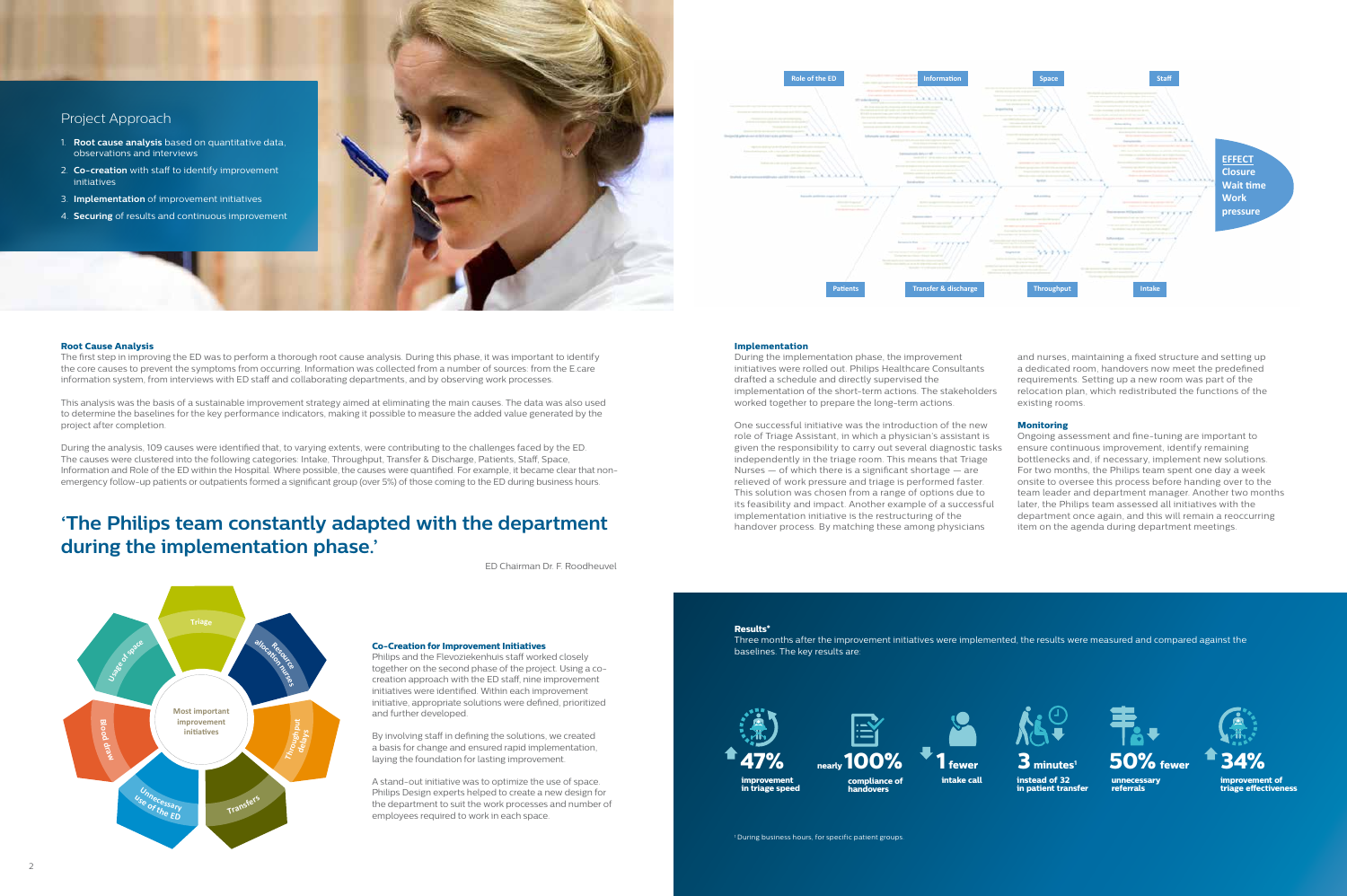

#### Project Approach

- 1. **Root cause analysis** based on quantitative data, observations and interviews
- 2. **Co-creation** with staff to identify improvement initiatives
- 3. **Implementation** of improvement initiatives
- 4. **Securing** of results and continuous improvement





The first step in improving the ED was to perform a thorough root cause analysis. During this phase, it was important to identify the core causes to prevent the symptoms from occurring. Information was collected from a number of sources: from the E.care information system, from interviews with ED staff and collaborating departments, and by observing work processes.

This analysis was the basis of a sustainable improvement strategy aimed at eliminating the main causes. The data was also used to determine the baselines for the key performance indicators, making it possible to measure the added value generated by the project after completion.

During the analysis, 109 causes were identified that, to varying extents, were contributing to the challenges faced by the ED. The causes were clustered into the following categories: Intake, Throughput, Transfer & Discharge, Patients, Staff, Space, Information and Role of the ED within the Hospital. Where possible, the causes were quantified. For example, it became clear that nonemergency follow-up patients or outpatients formed a significant group (over 5%) of those coming to the ED during business hours.

#### **Co-Creation for Improvement Initiatives**

Philips and the Flevoziekenhuis staff worked closely together on the second phase of the project. Using a cocreation approach with the ED staff, nine improvement initiatives were identified. Within each improvement initiative, appropriate solutions were defined, prioritized and further developed.

By involving staff in defining the solutions, we created a basis for change and ensured rapid implementation, laying the foundation for lasting improvement.

> **improvement of**  triage effectiveness

A stand-out initiative was to optimize the use of space. Philips Design experts helped to create a new design for the department to suit the work processes and number of employees required to work in each space.

### **'The Philips team constantly adapted with the department during the implementation phase.'**

ED Chairman Dr. F. Roodheuvel

#### **Implementation**

During the implementation phase, the improvement initiatives were rolled out. Philips Healthcare Consultants drafted a schedule and directly supervised the implementation of the short-term actions. The stakeholders worked together to prepare the long-term actions.

**Carrie** 

. . . . . . . .

 $777777$ 

One successful initiative was the introduction of the new role of Triage Assistant, in which a physician's assistant is given the responsibility to carry out several diagnostic tasks independently in the triage room. This means that Triage Nurses — of which there is a significant shortage — are relieved of work pressure and triage is performed faster. This solution was chosen from a range of options due to its feasibility and impact. Another example of a successful implementation initiative is the restructuring of the handover process. By matching these among physicians Ongoing assessment and fine-tuning are important to ensure continuous improvement, identify remaining bottlenecks and, if necessary, implement new solutions. For two months, the Philips team spent one day a week onsite to oversee this process before handing over to the team leader and department manager. Another two months later, the Philips team assessed all initiatives with the department once again, and this will remain a reoccurring item on the agenda during department meetings.

and nurses, maintaining a fixed structure and setting up a dedicated room, handovers now meet the predefined requirements. Setting up a new room was part of the relocation plan, which redistributed the functions of the existing rooms.

#### **Monitoring**



#### **Results\***

Three months after the improvement initiatives were implemented, the results were measured and compared against the baselines. The key results are:







**unnecessary referrals**

**in patient transfer 3 minutes1**